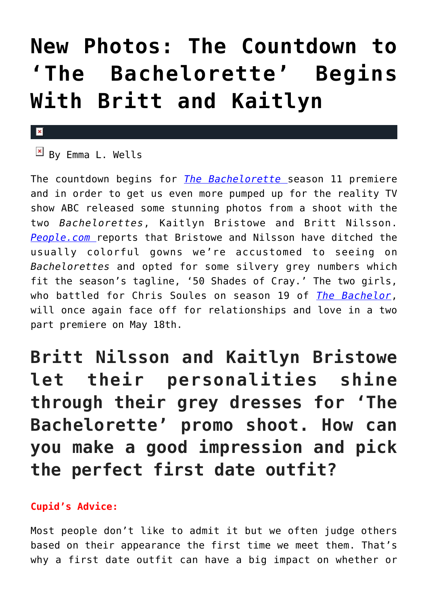## **[New Photos: The Countdown to](https://cupidspulse.com/92622/the-bachelorette-photos-kaitlyn-bristowe-britt-nilsson/) ['The Bachelorette' Begins](https://cupidspulse.com/92622/the-bachelorette-photos-kaitlyn-bristowe-britt-nilsson/) [With Britt and Kaitlyn](https://cupidspulse.com/92622/the-bachelorette-photos-kaitlyn-bristowe-britt-nilsson/)**

## $\mathbf{x}$

 $\overline{B}$  By Emma L. Wells

The countdown begins for *[The Bachelorette](http://cupidspulse.com/celebrity-news/reality-tv/the-bachelorette/)* season 11 premiere and in order to get us even more pumped up for the reality TV show ABC released some stunning photos from a shoot with the two *Bachelorettes*, Kaitlyn Bristowe and Britt Nilsson. *[People.com](http://www.people.com/article/bachelorette-first-look-britt-kaitlyn-promo-photos)* reports that Bristowe and Nilsson have ditched the usually colorful gowns we're accustomed to seeing on *Bachelorettes* and opted for some silvery grey numbers which fit the season's tagline, '50 Shades of Cray.' The two girls, who battled for Chris Soules on season 19 of *[The Bachelor](http://cupidspulse.com/celebrity-news/reality-tv/the-bachelor/)*, will once again face off for relationships and love in a two part premiere on May 18th.

**Britt Nilsson and Kaitlyn Bristowe let their personalities shine through their grey dresses for 'The Bachelorette' promo shoot. How can you make a good impression and pick the perfect first date outfit?**

## **Cupid's Advice:**

Most people don't like to admit it but we often judge others based on their appearance the first time we meet them. That's why a first date outfit can have a big impact on whether or